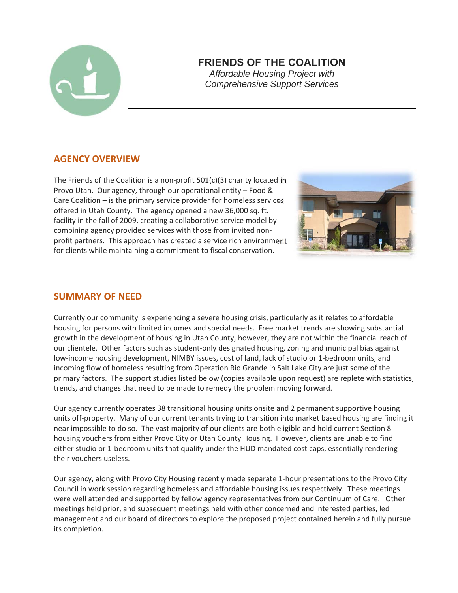

# **FRIENDS OF THE COALITION**

*Affordable Housing Project with Comprehensive Support Services*

# **AGENCY OVERVIEW**

The Friends of the Coalition is a non‐profit 501(c)(3) charity located in Provo Utah. Our agency, through our operational entity – Food & Care Coalition – is the primary service provider for homeless services offered in Utah County. The agency opened a new 36,000 sq. ft. facility in the fall of 2009, creating a collaborative service model by combining agency provided services with those from invited non‐ profit partners. This approach has created a service rich environment for clients while maintaining a commitment to fiscal conservation.



#### **SUMMARY OF NEED**

Currently our community is experiencing a severe housing crisis, particularly as it relates to affordable housing for persons with limited incomes and special needs. Free market trends are showing substantial growth in the development of housing in Utah County, however, they are not within the financial reach of our clientele. Other factors such as student-only designated housing, zoning and municipal bias against low-income housing development, NIMBY issues, cost of land, lack of studio or 1-bedroom units, and incoming flow of homeless resulting from Operation Rio Grande in Salt Lake City are just some of the primary factors. The support studies listed below (copies available upon request) are replete with statistics, trends, and changes that need to be made to remedy the problem moving forward.

Our agency currently operates 38 transitional housing units onsite and 2 permanent supportive housing units off‐property. Many of our current tenants trying to transition into market based housing are finding it near impossible to do so. The vast majority of our clients are both eligible and hold current Section 8 housing vouchers from either Provo City or Utah County Housing. However, clients are unable to find either studio or 1‐bedroom units that qualify under the HUD mandated cost caps, essentially rendering their vouchers useless.

Our agency, along with Provo City Housing recently made separate 1‐hour presentations to the Provo City Council in work session regarding homeless and affordable housing issues respectively. These meetings were well attended and supported by fellow agency representatives from our Continuum of Care. Other meetings held prior, and subsequent meetings held with other concerned and interested parties, led management and our board of directors to explore the proposed project contained herein and fully pursue its completion.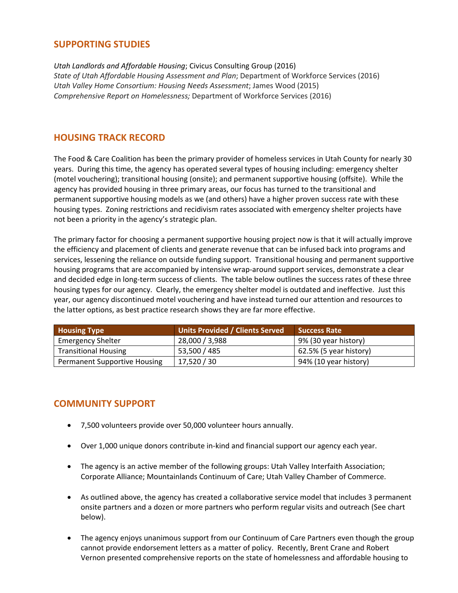# **SUPPORTING STUDIES**

*Utah Landlords and Affordable Housing*; Civicus Consulting Group (2016) *State of Utah Affordable Housing Assessment and Plan*; Department of Workforce Services (2016) *Utah Valley Home Consortium: Housing Needs Assessment*; James Wood (2015) *Comprehensive Report on Homelessness;* Department of Workforce Services (2016)

#### **HOUSING TRACK RECORD**

The Food & Care Coalition has been the primary provider of homeless services in Utah County for nearly 30 years. During this time, the agency has operated several types of housing including: emergency shelter (motel vouchering); transitional housing (onsite); and permanent supportive housing (offsite). While the agency has provided housing in three primary areas, our focus has turned to the transitional and permanent supportive housing models as we (and others) have a higher proven success rate with these housing types. Zoning restrictions and recidivism rates associated with emergency shelter projects have not been a priority in the agency's strategic plan.

The primary factor for choosing a permanent supportive housing project now is that it will actually improve the efficiency and placement of clients and generate revenue that can be infused back into programs and services, lessening the reliance on outside funding support. Transitional housing and permanent supportive housing programs that are accompanied by intensive wrap-around support services, demonstrate a clear and decided edge in long-term success of clients. The table below outlines the success rates of these three housing types for our agency. Clearly, the emergency shelter model is outdated and ineffective. Just this year, our agency discontinued motel vouchering and have instead turned our attention and resources to the latter options, as best practice research shows they are far more effective.

| <b>Housing Type</b>                 | <b>Units Provided / Clients Served</b> | <b>Success Rate</b>    |
|-------------------------------------|----------------------------------------|------------------------|
| <b>Emergency Shelter</b>            | 28,000 / 3,988                         | 9% (30 year history)   |
| <b>Transitional Housing</b>         | 53,500 / 485                           | 62.5% (5 year history) |
| <b>Permanent Supportive Housing</b> | 17,520 / 30                            | 94% (10 year history)  |

# **COMMUNITY SUPPORT**

- 7,500 volunteers provide over 50,000 volunteer hours annually.
- Over 1,000 unique donors contribute in-kind and financial support our agency each year.
- The agency is an active member of the following groups: Utah Valley Interfaith Association; Corporate Alliance; Mountainlands Continuum of Care; Utah Valley Chamber of Commerce.
- As outlined above, the agency has created a collaborative service model that includes 3 permanent onsite partners and a dozen or more partners who perform regular visits and outreach (See chart below).
- The agency enjoys unanimous support from our Continuum of Care Partners even though the group cannot provide endorsement letters as a matter of policy. Recently, Brent Crane and Robert Vernon presented comprehensive reports on the state of homelessness and affordable housing to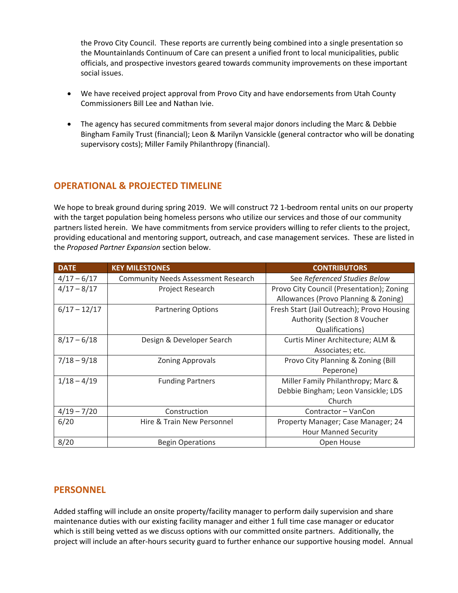the Provo City Council. These reports are currently being combined into a single presentation so the Mountainlands Continuum of Care can present a unified front to local municipalities, public officials, and prospective investors geared towards community improvements on these important social issues.

- We have received project approval from Provo City and have endorsements from Utah County Commissioners Bill Lee and Nathan Ivie.
- The agency has secured commitments from several major donors including the Marc & Debbie Bingham Family Trust (financial); Leon & Marilyn Vansickle (general contractor who will be donating supervisory costs); Miller Family Philanthropy (financial).

# **OPERATIONAL & PROJECTED TIMELINE**

We hope to break ground during spring 2019. We will construct 72 1-bedroom rental units on our property with the target population being homeless persons who utilize our services and those of our community partners listed herein. We have commitments from service providers willing to refer clients to the project, providing educational and mentoring support, outreach, and case management services. These are listed in the *Proposed Partner Expansion* section below.

| <b>DATE</b>    | <b>KEY MILESTONES</b>                      | <b>CONTRIBUTORS</b>                                                        |
|----------------|--------------------------------------------|----------------------------------------------------------------------------|
| $4/17 - 6/17$  | <b>Community Needs Assessment Research</b> | See Referenced Studies Below                                               |
| $4/17 - 8/17$  | Project Research                           | Provo City Council (Presentation); Zoning                                  |
|                |                                            | Allowances (Provo Planning & Zoning)                                       |
| $6/17 - 12/17$ | <b>Partnering Options</b>                  | Fresh Start (Jail Outreach); Provo Housing<br>Authority (Section 8 Voucher |
|                |                                            | Qualifications)                                                            |
| $8/17 - 6/18$  | Design & Developer Search                  | Curtis Miner Architecture; ALM &                                           |
|                |                                            | Associates; etc.                                                           |
| $7/18 - 9/18$  | <b>Zoning Approvals</b>                    | Provo City Planning & Zoning (Bill                                         |
|                |                                            | Peperone)                                                                  |
| $1/18 - 4/19$  | <b>Funding Partners</b>                    | Miller Family Philanthropy; Marc &                                         |
|                |                                            | Debbie Bingham; Leon Vansickle; LDS                                        |
|                |                                            | Church                                                                     |
| $4/19 - 7/20$  | Construction                               | Contractor - VanCon                                                        |
| 6/20           | Hire & Train New Personnel                 | Property Manager; Case Manager; 24                                         |
|                |                                            | <b>Hour Manned Security</b>                                                |
| 8/20           | <b>Begin Operations</b>                    | Open House                                                                 |

# **PERSONNEL**

Added staffing will include an onsite property/facility manager to perform daily supervision and share maintenance duties with our existing facility manager and either 1 full time case manager or educator which is still being vetted as we discuss options with our committed onsite partners. Additionally, the project will include an after-hours security guard to further enhance our supportive housing model. Annual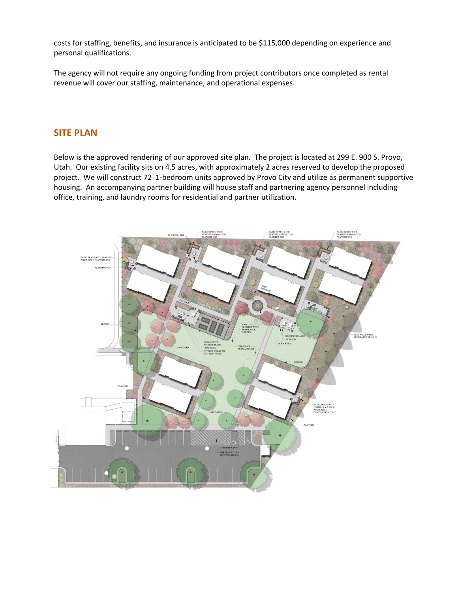costs for staffing, benefits, and insurance is anticipated to be \$115,000 depending on experience and personal qualifications.

The agency will not require any ongoing funding from project contributors once completed as rental revenue will cover our staffing, maintenance, and operational expenses.

#### **SITE PLAN**

Below is the approved rendering of our approved site plan. The project is located at 299 E. 900 S. Provo, Utah. Our existing facility sits on 4.5 acres, with approximately 2 acres reserved to develop the proposed project. We will construct 72 1-bedroom units approved by Provo City and utilize as permanent supportive housing. An accompanying partner building will house staff and partnering agency personnel including office, training, and laundry rooms for residential and partner utilization.

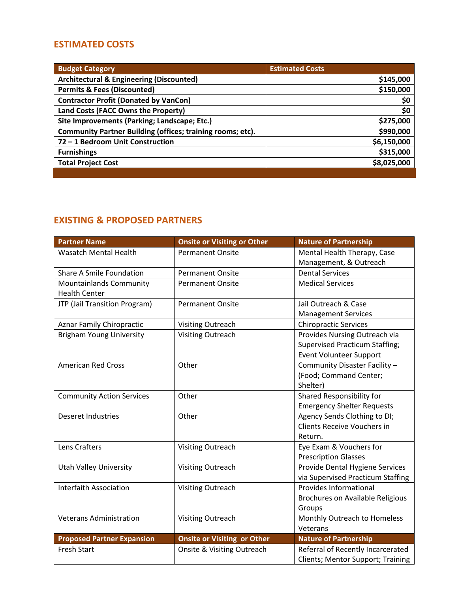# **ESTIMATED COSTS**

| <b>Budget Category</b>                                     | <b>Estimated Costs</b> |
|------------------------------------------------------------|------------------------|
| <b>Architectural &amp; Engineering (Discounted)</b>        | \$145,000              |
| <b>Permits &amp; Fees (Discounted)</b>                     | \$150,000              |
| <b>Contractor Profit (Donated by VanCon)</b>               | \$0                    |
| Land Costs (FACC Owns the Property)                        | \$0                    |
| Site Improvements (Parking; Landscape; Etc.)               | \$275,000              |
| Community Partner Building (offices; training rooms; etc). | \$990,000              |
| 72 - 1 Bedroom Unit Construction                           | \$6,150,000            |
| <b>Furnishings</b>                                         | \$315,000              |
| <b>Total Project Cost</b>                                  | \$8,025,000            |
|                                                            |                        |

# **EXISTING & PROPOSED PARTNERS**

| <b>Partner Name</b>               | <b>Onsite or Visiting or Other</b> | <b>Nature of Partnership</b>          |
|-----------------------------------|------------------------------------|---------------------------------------|
| <b>Wasatch Mental Health</b>      | <b>Permanent Onsite</b>            | Mental Health Therapy, Case           |
|                                   |                                    | Management, & Outreach                |
| Share A Smile Foundation          | <b>Permanent Onsite</b>            | <b>Dental Services</b>                |
| Mountainlands Community           | <b>Permanent Onsite</b>            | <b>Medical Services</b>               |
| <b>Health Center</b>              |                                    |                                       |
| JTP (Jail Transition Program)     | <b>Permanent Onsite</b>            | Jail Outreach & Case                  |
|                                   |                                    | <b>Management Services</b>            |
| <b>Aznar Family Chiropractic</b>  | <b>Visiting Outreach</b>           | <b>Chiropractic Services</b>          |
| <b>Brigham Young University</b>   | <b>Visiting Outreach</b>           | Provides Nursing Outreach via         |
|                                   |                                    | <b>Supervised Practicum Staffing;</b> |
|                                   |                                    | <b>Event Volunteer Support</b>        |
| <b>American Red Cross</b>         | Other                              | Community Disaster Facility -         |
|                                   |                                    | (Food; Command Center;                |
|                                   |                                    | Shelter)                              |
| <b>Community Action Services</b>  | Other                              | Shared Responsibility for             |
|                                   |                                    | <b>Emergency Shelter Requests</b>     |
| <b>Deseret Industries</b>         | Other                              | Agency Sends Clothing to DI;          |
|                                   |                                    | Clients Receive Vouchers in           |
|                                   |                                    | Return.                               |
| Lens Crafters                     | <b>Visiting Outreach</b>           | Eye Exam & Vouchers for               |
|                                   |                                    | <b>Prescription Glasses</b>           |
| <b>Utah Valley University</b>     | <b>Visiting Outreach</b>           | Provide Dental Hygiene Services       |
|                                   |                                    | via Supervised Practicum Staffing     |
| <b>Interfaith Association</b>     | <b>Visiting Outreach</b>           | <b>Provides Informational</b>         |
|                                   |                                    | Brochures on Available Religious      |
|                                   |                                    | Groups                                |
| <b>Veterans Administration</b>    | <b>Visiting Outreach</b>           | Monthly Outreach to Homeless          |
|                                   |                                    | Veterans                              |
| <b>Proposed Partner Expansion</b> | <b>Onsite or Visiting or Other</b> | <b>Nature of Partnership</b>          |
| <b>Fresh Start</b>                | Onsite & Visiting Outreach         | Referral of Recently Incarcerated     |
|                                   |                                    | Clients; Mentor Support; Training     |